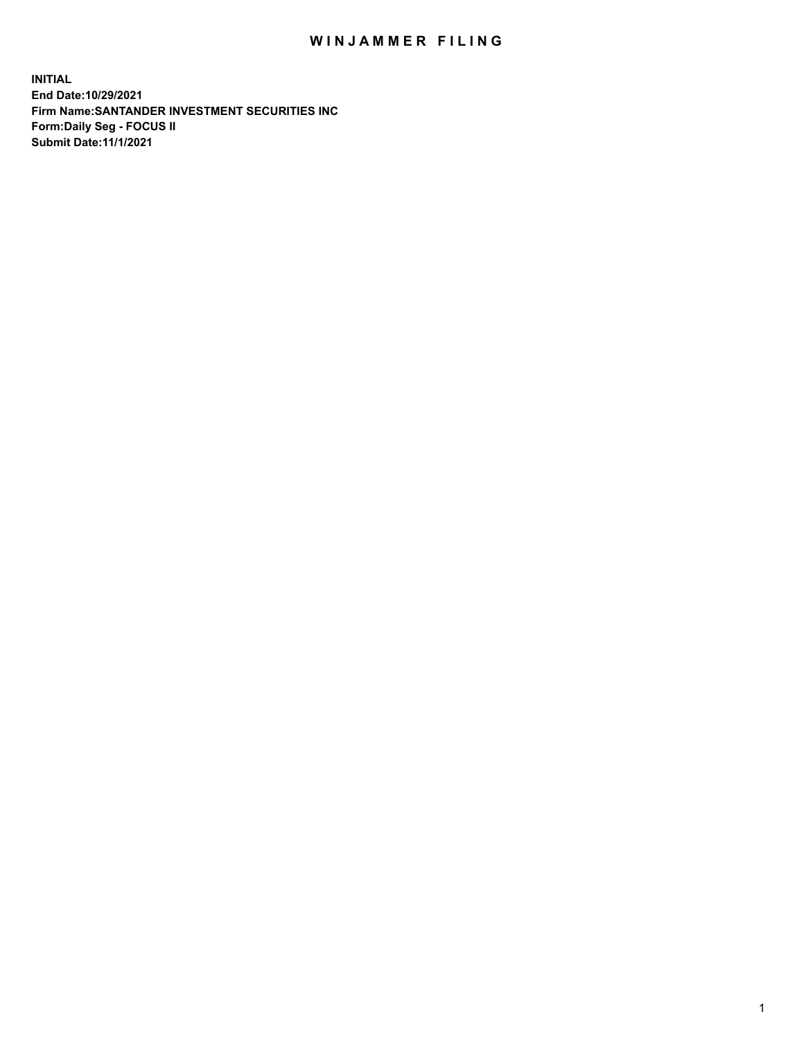## WIN JAMMER FILING

**INITIAL End Date:10/29/2021 Firm Name:SANTANDER INVESTMENT SECURITIES INC Form:Daily Seg - FOCUS II Submit Date:11/1/2021**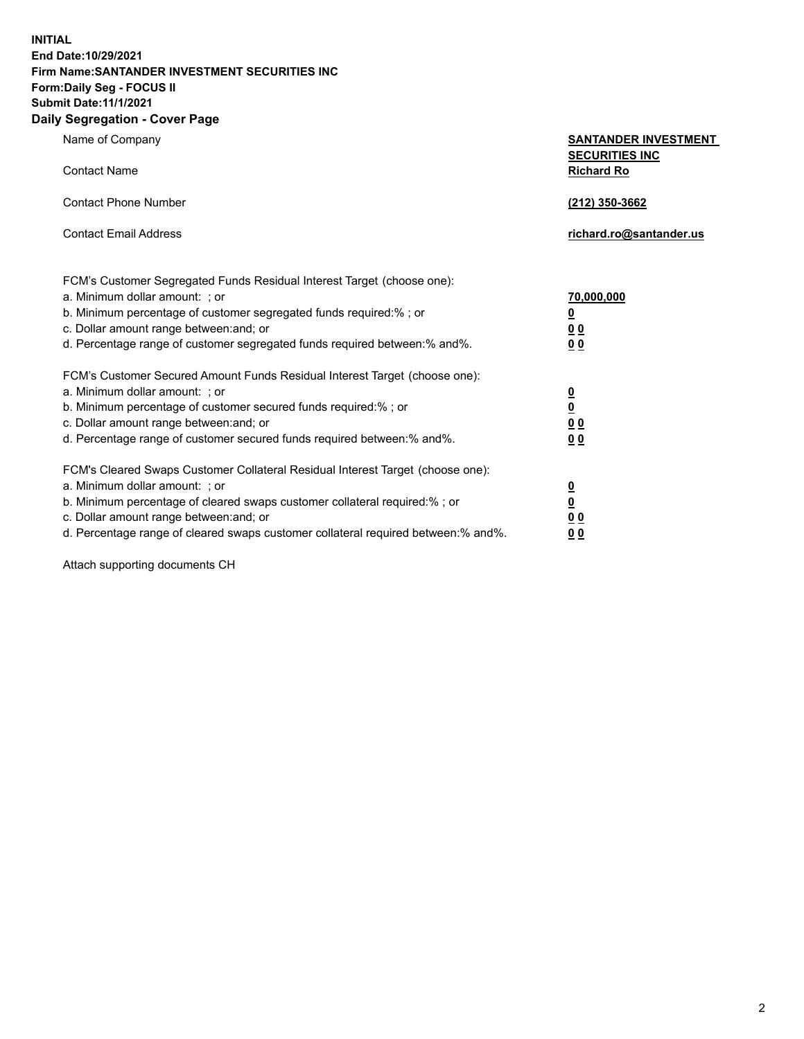**INITIAL End Date:10/29/2021 Firm Name:SANTANDER INVESTMENT SECURITIES INC Form:Daily Seg - FOCUS II Submit Date:11/1/2021 Daily Segregation - Cover Page**

| Name of Company<br><b>Contact Name</b>                                            | <b>SANTANDER INVESTMENT</b><br><b>SECURITIES INC</b> |
|-----------------------------------------------------------------------------------|------------------------------------------------------|
|                                                                                   | <b>Richard Ro</b>                                    |
| <b>Contact Phone Number</b>                                                       | (212) 350-3662                                       |
| <b>Contact Email Address</b>                                                      | richard.ro@santander.us                              |
|                                                                                   |                                                      |
| FCM's Customer Segregated Funds Residual Interest Target (choose one):            |                                                      |
| a. Minimum dollar amount: ; or                                                    | 70,000,000                                           |
| b. Minimum percentage of customer segregated funds required:% ; or                | <u>0</u>                                             |
| c. Dollar amount range between: and; or                                           | 0 <sub>0</sub>                                       |
| d. Percentage range of customer segregated funds required between:% and%.         | 0 <sub>0</sub>                                       |
| FCM's Customer Secured Amount Funds Residual Interest Target (choose one):        |                                                      |
| a. Minimum dollar amount: ; or                                                    |                                                      |
| b. Minimum percentage of customer secured funds required:% ; or                   | $\frac{0}{0}$                                        |
| c. Dollar amount range between: and; or                                           | 0 <sub>0</sub>                                       |
| d. Percentage range of customer secured funds required between:% and%.            | 0 <sub>0</sub>                                       |
| FCM's Cleared Swaps Customer Collateral Residual Interest Target (choose one):    |                                                      |
| a. Minimum dollar amount: ; or                                                    |                                                      |
| b. Minimum percentage of cleared swaps customer collateral required:% ; or        | $\frac{0}{0}$                                        |
| c. Dollar amount range between: and; or                                           | 0 <sub>0</sub>                                       |
| d. Percentage range of cleared swaps customer collateral required between:% and%. | <u>00</u>                                            |

Attach supporting documents CH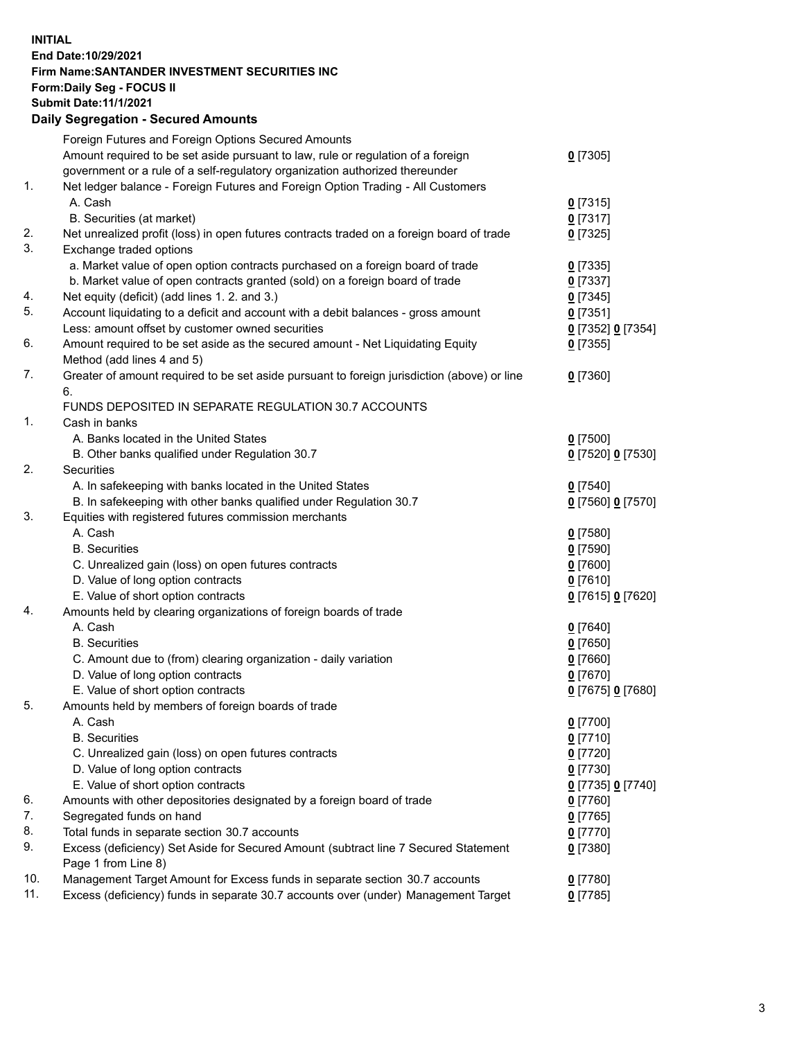## **INITIAL End Date:10/29/2021 Firm Name:SANTANDER INVESTMENT SECURITIES INC Form:Daily Seg - FOCUS II Submit Date:11/1/2021 Daily Segregation - Secured Amounts**

|     | Foreign Futures and Foreign Options Secured Amounts                                         |                   |
|-----|---------------------------------------------------------------------------------------------|-------------------|
|     | Amount required to be set aside pursuant to law, rule or regulation of a foreign            | $0$ [7305]        |
|     | government or a rule of a self-regulatory organization authorized thereunder                |                   |
| 1.  | Net ledger balance - Foreign Futures and Foreign Option Trading - All Customers             |                   |
|     | A. Cash                                                                                     | $0$ [7315]        |
|     | B. Securities (at market)                                                                   | $0$ [7317]        |
| 2.  | Net unrealized profit (loss) in open futures contracts traded on a foreign board of trade   | $0$ [7325]        |
| 3.  | Exchange traded options                                                                     |                   |
|     | a. Market value of open option contracts purchased on a foreign board of trade              | $0$ [7335]        |
|     | b. Market value of open contracts granted (sold) on a foreign board of trade                | $0$ [7337]        |
| 4.  | Net equity (deficit) (add lines 1. 2. and 3.)                                               | $0$ [7345]        |
| 5.  | Account liquidating to a deficit and account with a debit balances - gross amount           | $0$ [7351]        |
|     | Less: amount offset by customer owned securities                                            | 0 [7352] 0 [7354] |
| 6.  | Amount required to be set aside as the secured amount - Net Liquidating Equity              | $0$ [7355]        |
|     | Method (add lines 4 and 5)                                                                  |                   |
| 7.  | Greater of amount required to be set aside pursuant to foreign jurisdiction (above) or line | $0$ [7360]        |
|     | 6.                                                                                          |                   |
|     | FUNDS DEPOSITED IN SEPARATE REGULATION 30.7 ACCOUNTS                                        |                   |
| 1.  | Cash in banks                                                                               |                   |
|     | A. Banks located in the United States                                                       | $0$ [7500]        |
|     | B. Other banks qualified under Regulation 30.7                                              | 0 [7520] 0 [7530] |
| 2.  | Securities                                                                                  |                   |
|     | A. In safekeeping with banks located in the United States                                   | $0$ [7540]        |
|     | B. In safekeeping with other banks qualified under Regulation 30.7                          | 0 [7560] 0 [7570] |
| 3.  | Equities with registered futures commission merchants                                       |                   |
|     | A. Cash                                                                                     | $0$ [7580]        |
|     | <b>B.</b> Securities                                                                        | $0$ [7590]        |
|     | C. Unrealized gain (loss) on open futures contracts                                         | $0$ [7600]        |
|     | D. Value of long option contracts                                                           | $0$ [7610]        |
|     | E. Value of short option contracts                                                          | 0 [7615] 0 [7620] |
| 4.  | Amounts held by clearing organizations of foreign boards of trade                           |                   |
|     | A. Cash                                                                                     | $0$ [7640]        |
|     | <b>B.</b> Securities                                                                        | $0$ [7650]        |
|     | C. Amount due to (from) clearing organization - daily variation                             | $0$ [7660]        |
|     | D. Value of long option contracts                                                           | $0$ [7670]        |
|     | E. Value of short option contracts                                                          | 0 [7675] 0 [7680] |
| 5.  | Amounts held by members of foreign boards of trade                                          |                   |
|     | A. Cash                                                                                     | $0$ [7700]        |
|     | <b>B.</b> Securities                                                                        | $0$ [7710]        |
|     | C. Unrealized gain (loss) on open futures contracts                                         | $0$ [7720]        |
|     | D. Value of long option contracts                                                           | $0$ [7730]        |
|     | E. Value of short option contracts                                                          | 0 [7735] 0 [7740] |
| 6.  | Amounts with other depositories designated by a foreign board of trade                      | 0 [7760]          |
| 7.  | Segregated funds on hand                                                                    | $0$ [7765]        |
| 8.  | Total funds in separate section 30.7 accounts                                               | 0 [7770]          |
| 9.  | Excess (deficiency) Set Aside for Secured Amount (subtract line 7 Secured Statement         | $0$ [7380]        |
|     | Page 1 from Line 8)                                                                         |                   |
| 10. | Management Target Amount for Excess funds in separate section 30.7 accounts                 | $0$ [7780]        |
| 11. | Excess (deficiency) funds in separate 30.7 accounts over (under) Management Target          | $0$ [7785]        |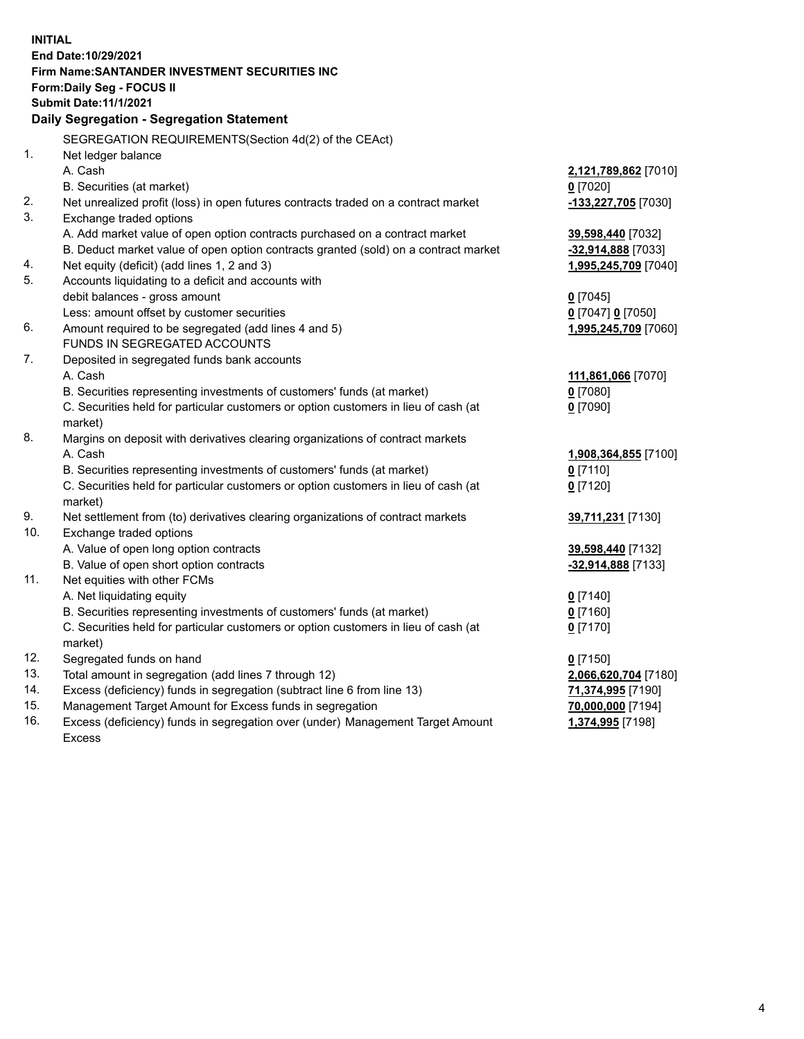| <b>INITIAL</b> |                                                                                     |                      |
|----------------|-------------------------------------------------------------------------------------|----------------------|
|                | End Date:10/29/2021                                                                 |                      |
|                | Firm Name: SANTANDER INVESTMENT SECURITIES INC                                      |                      |
|                | Form: Daily Seg - FOCUS II                                                          |                      |
|                | <b>Submit Date: 11/1/2021</b>                                                       |                      |
|                | Daily Segregation - Segregation Statement                                           |                      |
|                | SEGREGATION REQUIREMENTS(Section 4d(2) of the CEAct)                                |                      |
| 1.             | Net ledger balance                                                                  |                      |
|                | A. Cash                                                                             | 2,121,789,862 [7010] |
|                | B. Securities (at market)                                                           | $0$ [7020]           |
| 2.             | Net unrealized profit (loss) in open futures contracts traded on a contract market  | -133,227,705 [7030]  |
| 3.             | Exchange traded options                                                             |                      |
|                | A. Add market value of open option contracts purchased on a contract market         | 39,598,440 [7032]    |
|                | B. Deduct market value of open option contracts granted (sold) on a contract market | -32,914,888 [7033]   |
| 4.             | Net equity (deficit) (add lines 1, 2 and 3)                                         | 1,995,245,709 [7040] |
| 5.             | Accounts liquidating to a deficit and accounts with                                 |                      |
|                | debit balances - gross amount                                                       | $0$ [7045]           |
|                | Less: amount offset by customer securities                                          | 0 [7047] 0 [7050]    |
| 6.             | Amount required to be segregated (add lines 4 and 5)                                | 1,995,245,709 [7060] |
|                | FUNDS IN SEGREGATED ACCOUNTS                                                        |                      |
| 7.             | Deposited in segregated funds bank accounts                                         |                      |
|                | A. Cash                                                                             | 111,861,066 [7070]   |
|                | B. Securities representing investments of customers' funds (at market)              | $0$ [7080]           |
|                | C. Securities held for particular customers or option customers in lieu of cash (at | $0$ [7090]           |
|                | market)                                                                             |                      |
| 8.             | Margins on deposit with derivatives clearing organizations of contract markets      |                      |
|                | A. Cash                                                                             | 1,908,364,855 [7100] |
|                | B. Securities representing investments of customers' funds (at market)              | $0$ [7110]           |
|                | C. Securities held for particular customers or option customers in lieu of cash (at | $0$ [7120]           |
|                | market)                                                                             |                      |
| 9.             | Net settlement from (to) derivatives clearing organizations of contract markets     | 39,711,231 [7130]    |
| 10.            | Exchange traded options                                                             |                      |
|                | A. Value of open long option contracts                                              | 39,598,440 [7132]    |
|                | B. Value of open short option contracts                                             | -32,914,888 [7133]   |
| 11.            | Net equities with other FCMs                                                        |                      |
|                | A. Net liquidating equity                                                           | $0$ [7140]           |
|                | B. Securities representing investments of customers' funds (at market)              | $0$ [7160]           |
|                | C. Securities held for particular customers or option customers in lieu of cash (at | $0$ [7170]           |
|                | market)                                                                             |                      |
| 12.            | Segregated funds on hand                                                            | $0$ [7150]           |
| 13.            | Total amount in segregation (add lines 7 through 12)                                | 2,066,620,704 [7180] |
| 14.            | Excess (deficiency) funds in segregation (subtract line 6 from line 13)             | 71,374,995 [7190]    |
| 15.            | Management Target Amount for Excess funds in segregation                            | 70,000,000 [7194]    |
| 16.            | Excess (deficiency) funds in segregation over (under) Management Target Amount      | 1,374,995 [7198]     |
|                | Excess                                                                              |                      |